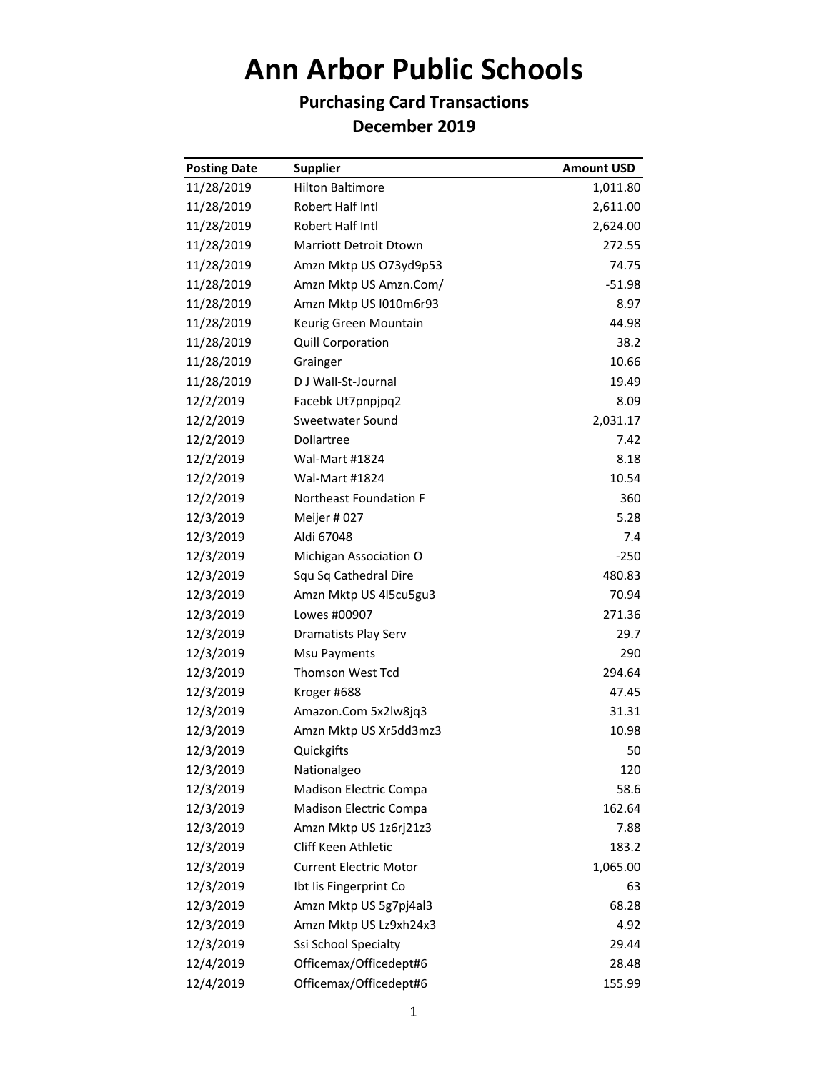## **Ann Arbor Public Schools**

## **Purchasing Card Transactions December 2019**

| <b>Posting Date</b> | <b>Supplier</b>               | <b>Amount USD</b> |
|---------------------|-------------------------------|-------------------|
| 11/28/2019          | <b>Hilton Baltimore</b>       | 1,011.80          |
| 11/28/2019          | Robert Half Intl              | 2,611.00          |
| 11/28/2019          | Robert Half Intl              | 2,624.00          |
| 11/28/2019          | Marriott Detroit Dtown        | 272.55            |
| 11/28/2019          | Amzn Mktp US O73yd9p53        | 74.75             |
| 11/28/2019          | Amzn Mktp US Amzn.Com/        | $-51.98$          |
| 11/28/2019          | Amzn Mktp US I010m6r93        | 8.97              |
| 11/28/2019          | Keurig Green Mountain         | 44.98             |
| 11/28/2019          | Quill Corporation             | 38.2              |
| 11/28/2019          | Grainger                      | 10.66             |
| 11/28/2019          | D J Wall-St-Journal           | 19.49             |
| 12/2/2019           | Facebk Ut7pnpjpq2             | 8.09              |
| 12/2/2019           | Sweetwater Sound              | 2,031.17          |
| 12/2/2019           | Dollartree                    | 7.42              |
| 12/2/2019           | <b>Wal-Mart #1824</b>         | 8.18              |
| 12/2/2019           | Wal-Mart #1824                | 10.54             |
| 12/2/2019           | <b>Northeast Foundation F</b> | 360               |
| 12/3/2019           | Meijer #027                   | 5.28              |
| 12/3/2019           | Aldi 67048                    | 7.4               |
| 12/3/2019           | Michigan Association O        | $-250$            |
| 12/3/2019           | Squ Sq Cathedral Dire         | 480.83            |
| 12/3/2019           | Amzn Mktp US 4l5cu5gu3        | 70.94             |
| 12/3/2019           | Lowes #00907                  | 271.36            |
| 12/3/2019           | Dramatists Play Serv          | 29.7              |
| 12/3/2019           | Msu Payments                  | 290               |
| 12/3/2019           | <b>Thomson West Tcd</b>       | 294.64            |
| 12/3/2019           | Kroger #688                   | 47.45             |
| 12/3/2019           | Amazon.Com 5x2lw8jq3          | 31.31             |
| 12/3/2019           | Amzn Mktp US Xr5dd3mz3        | 10.98             |
| 12/3/2019           | Quickgifts                    | 50                |
| 12/3/2019           | Nationalgeo                   | 120               |
| 12/3/2019           | Madison Electric Compa        | 58.6              |
| 12/3/2019           | Madison Electric Compa        | 162.64            |
| 12/3/2019           | Amzn Mktp US 1z6rj21z3        | 7.88              |
| 12/3/2019           | Cliff Keen Athletic           | 183.2             |
| 12/3/2019           | <b>Current Electric Motor</b> | 1,065.00          |
| 12/3/2019           | Ibt Iis Fingerprint Co        | 63                |
| 12/3/2019           | Amzn Mktp US 5g7pj4al3        | 68.28             |
| 12/3/2019           | Amzn Mktp US Lz9xh24x3        | 4.92              |
| 12/3/2019           | Ssi School Specialty          | 29.44             |
| 12/4/2019           | Officemax/Officedept#6        | 28.48             |
| 12/4/2019           | Officemax/Officedept#6        | 155.99            |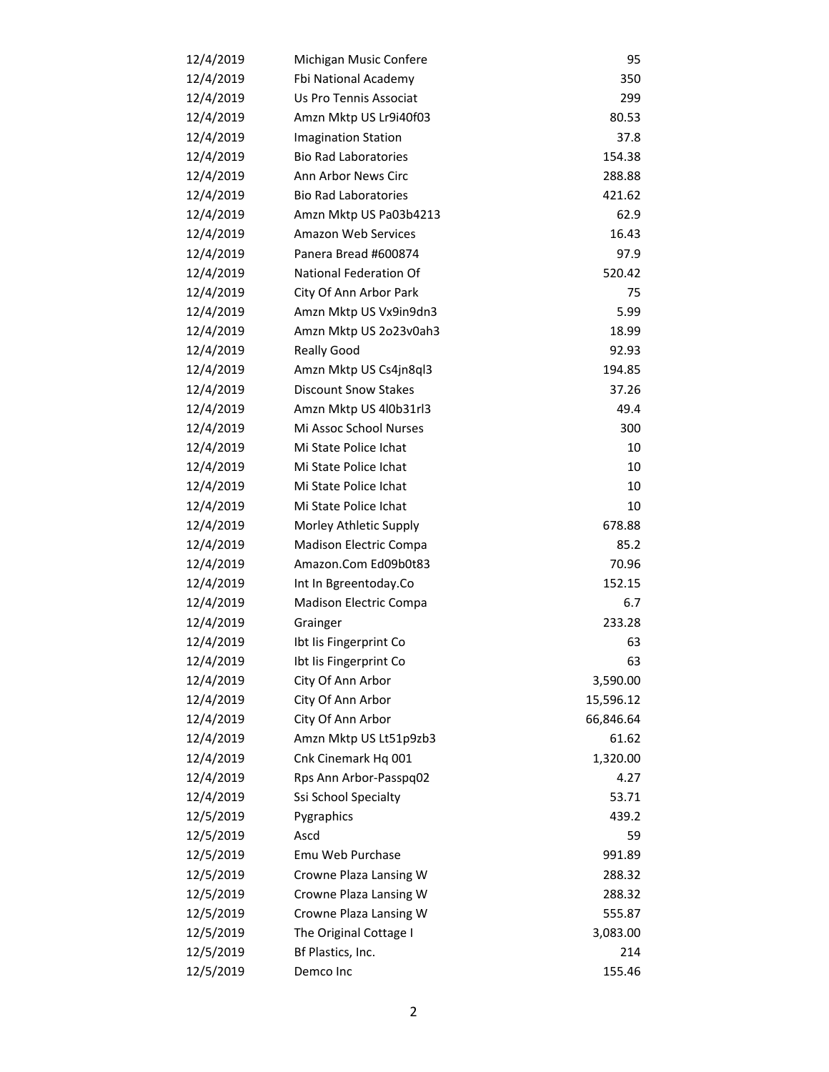| 12/4/2019 | Michigan Music Confere      | 95        |
|-----------|-----------------------------|-----------|
| 12/4/2019 | Fbi National Academy        | 350       |
| 12/4/2019 | Us Pro Tennis Associat      | 299       |
| 12/4/2019 | Amzn Mktp US Lr9i40f03      | 80.53     |
| 12/4/2019 | <b>Imagination Station</b>  | 37.8      |
| 12/4/2019 | <b>Bio Rad Laboratories</b> | 154.38    |
| 12/4/2019 | Ann Arbor News Circ         | 288.88    |
| 12/4/2019 | <b>Bio Rad Laboratories</b> | 421.62    |
| 12/4/2019 | Amzn Mktp US Pa03b4213      | 62.9      |
| 12/4/2019 | <b>Amazon Web Services</b>  | 16.43     |
| 12/4/2019 | Panera Bread #600874        | 97.9      |
| 12/4/2019 | National Federation Of      | 520.42    |
| 12/4/2019 | City Of Ann Arbor Park      | 75        |
| 12/4/2019 | Amzn Mktp US Vx9in9dn3      | 5.99      |
| 12/4/2019 | Amzn Mktp US 2o23v0ah3      | 18.99     |
| 12/4/2019 | <b>Really Good</b>          | 92.93     |
| 12/4/2019 | Amzn Mktp US Cs4jn8ql3      | 194.85    |
| 12/4/2019 | <b>Discount Snow Stakes</b> | 37.26     |
| 12/4/2019 | Amzn Mktp US 4l0b31rl3      | 49.4      |
| 12/4/2019 | Mi Assoc School Nurses      | 300       |
| 12/4/2019 | Mi State Police Ichat       | 10        |
| 12/4/2019 | Mi State Police Ichat       | 10        |
| 12/4/2019 | Mi State Police Ichat       | 10        |
| 12/4/2019 | Mi State Police Ichat       | 10        |
| 12/4/2019 | Morley Athletic Supply      | 678.88    |
| 12/4/2019 | Madison Electric Compa      | 85.2      |
| 12/4/2019 | Amazon.Com Ed09b0t83        | 70.96     |
| 12/4/2019 | Int In Bgreentoday.Co       | 152.15    |
| 12/4/2019 | Madison Electric Compa      | 6.7       |
| 12/4/2019 | Grainger                    | 233.28    |
| 12/4/2019 | Ibt Iis Fingerprint Co      | 63        |
| 12/4/2019 | Ibt Iis Fingerprint Co      | 63        |
| 12/4/2019 | City Of Ann Arbor           | 3,590.00  |
| 12/4/2019 | City Of Ann Arbor           | 15,596.12 |
| 12/4/2019 | City Of Ann Arbor           | 66,846.64 |
| 12/4/2019 | Amzn Mktp US Lt51p9zb3      | 61.62     |
| 12/4/2019 | Cnk Cinemark Hq 001         | 1,320.00  |
| 12/4/2019 | Rps Ann Arbor-Passpq02      | 4.27      |
| 12/4/2019 | Ssi School Specialty        | 53.71     |
| 12/5/2019 | Pygraphics                  | 439.2     |
| 12/5/2019 | Ascd                        | 59        |
| 12/5/2019 | Emu Web Purchase            | 991.89    |
| 12/5/2019 | Crowne Plaza Lansing W      | 288.32    |
| 12/5/2019 | Crowne Plaza Lansing W      | 288.32    |
| 12/5/2019 | Crowne Plaza Lansing W      | 555.87    |
| 12/5/2019 | The Original Cottage I      | 3,083.00  |
| 12/5/2019 | Bf Plastics, Inc.           | 214       |
| 12/5/2019 | Demco Inc                   | 155.46    |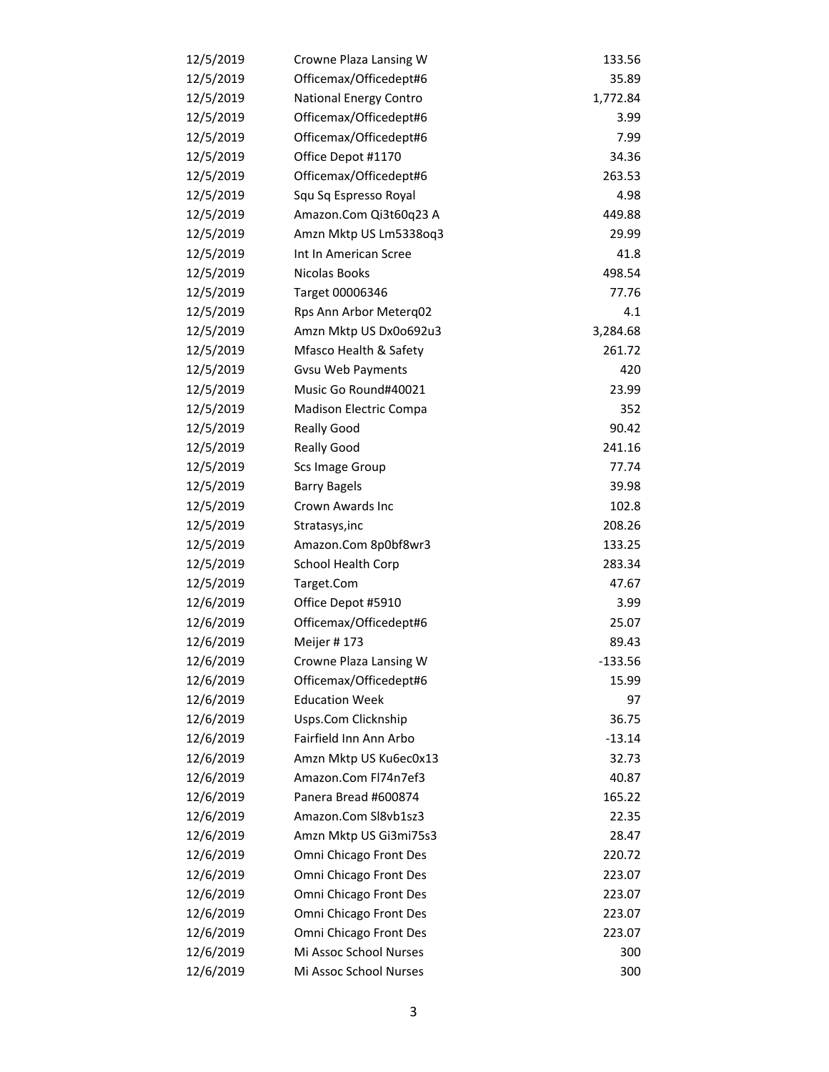| 12/5/2019 | Crowne Plaza Lansing W   | 133.56    |
|-----------|--------------------------|-----------|
| 12/5/2019 | Officemax/Officedept#6   | 35.89     |
| 12/5/2019 | National Energy Contro   | 1,772.84  |
| 12/5/2019 | Officemax/Officedept#6   | 3.99      |
| 12/5/2019 | Officemax/Officedept#6   | 7.99      |
| 12/5/2019 | Office Depot #1170       | 34.36     |
| 12/5/2019 | Officemax/Officedept#6   | 263.53    |
| 12/5/2019 | Squ Sq Espresso Royal    | 4.98      |
| 12/5/2019 | Amazon.Com Qi3t60q23 A   | 449.88    |
| 12/5/2019 | Amzn Mktp US Lm5338oq3   | 29.99     |
| 12/5/2019 | Int In American Scree    | 41.8      |
| 12/5/2019 | Nicolas Books            | 498.54    |
| 12/5/2019 | Target 00006346          | 77.76     |
| 12/5/2019 | Rps Ann Arbor Meterq02   | 4.1       |
| 12/5/2019 | Amzn Mktp US Dx0o692u3   | 3,284.68  |
| 12/5/2019 | Mfasco Health & Safety   | 261.72    |
| 12/5/2019 | <b>Gvsu Web Payments</b> | 420       |
| 12/5/2019 | Music Go Round#40021     | 23.99     |
| 12/5/2019 | Madison Electric Compa   | 352       |
| 12/5/2019 | <b>Really Good</b>       | 90.42     |
| 12/5/2019 | <b>Really Good</b>       | 241.16    |
| 12/5/2019 | Scs Image Group          | 77.74     |
| 12/5/2019 | <b>Barry Bagels</b>      | 39.98     |
| 12/5/2019 | Crown Awards Inc         | 102.8     |
| 12/5/2019 | Stratasys, inc           | 208.26    |
| 12/5/2019 | Amazon.Com 8p0bf8wr3     | 133.25    |
| 12/5/2019 | School Health Corp       | 283.34    |
| 12/5/2019 | Target.Com               | 47.67     |
| 12/6/2019 | Office Depot #5910       | 3.99      |
| 12/6/2019 | Officemax/Officedept#6   | 25.07     |
| 12/6/2019 | Meijer #173              | 89.43     |
| 12/6/2019 | Crowne Plaza Lansing W   | $-133.56$ |
| 12/6/2019 | Officemax/Officedept#6   | 15.99     |
| 12/6/2019 | <b>Education Week</b>    | 97        |
| 12/6/2019 | Usps.Com Clicknship      | 36.75     |
| 12/6/2019 | Fairfield Inn Ann Arbo   | $-13.14$  |
| 12/6/2019 | Amzn Mktp US Ku6ec0x13   | 32.73     |
| 12/6/2019 | Amazon.Com Fl74n7ef3     | 40.87     |
| 12/6/2019 | Panera Bread #600874     | 165.22    |
| 12/6/2019 | Amazon.Com Sl8vb1sz3     | 22.35     |
| 12/6/2019 | Amzn Mktp US Gi3mi75s3   | 28.47     |
| 12/6/2019 | Omni Chicago Front Des   | 220.72    |
| 12/6/2019 | Omni Chicago Front Des   | 223.07    |
| 12/6/2019 | Omni Chicago Front Des   | 223.07    |
| 12/6/2019 | Omni Chicago Front Des   | 223.07    |
| 12/6/2019 | Omni Chicago Front Des   | 223.07    |
| 12/6/2019 | Mi Assoc School Nurses   | 300       |
| 12/6/2019 | Mi Assoc School Nurses   | 300       |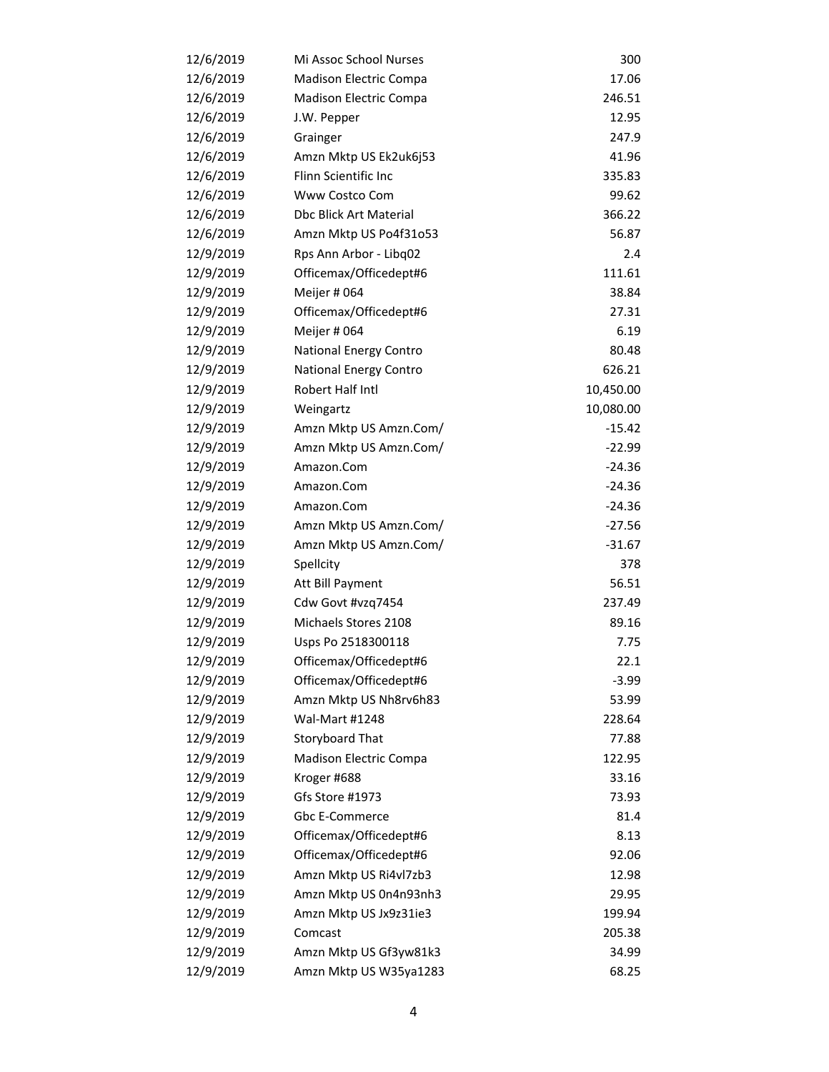| 12/6/2019 | Mi Assoc School Nurses        | 300       |
|-----------|-------------------------------|-----------|
| 12/6/2019 | Madison Electric Compa        | 17.06     |
| 12/6/2019 | Madison Electric Compa        | 246.51    |
| 12/6/2019 | J.W. Pepper                   | 12.95     |
| 12/6/2019 | Grainger                      | 247.9     |
| 12/6/2019 | Amzn Mktp US Ek2uk6j53        | 41.96     |
| 12/6/2019 | Flinn Scientific Inc          | 335.83    |
| 12/6/2019 | Www Costco Com                | 99.62     |
| 12/6/2019 | <b>Dbc Blick Art Material</b> | 366.22    |
| 12/6/2019 | Amzn Mktp US Po4f31o53        | 56.87     |
| 12/9/2019 | Rps Ann Arbor - Libq02        | 2.4       |
| 12/9/2019 | Officemax/Officedept#6        | 111.61    |
| 12/9/2019 | Meijer # 064                  | 38.84     |
| 12/9/2019 | Officemax/Officedept#6        | 27.31     |
| 12/9/2019 | Meijer # 064                  | 6.19      |
| 12/9/2019 | National Energy Contro        | 80.48     |
| 12/9/2019 | National Energy Contro        | 626.21    |
| 12/9/2019 | Robert Half Intl              | 10,450.00 |
| 12/9/2019 | Weingartz                     | 10,080.00 |
| 12/9/2019 | Amzn Mktp US Amzn.Com/        | $-15.42$  |
| 12/9/2019 | Amzn Mktp US Amzn.Com/        | $-22.99$  |
| 12/9/2019 | Amazon.Com                    | $-24.36$  |
| 12/9/2019 | Amazon.Com                    | $-24.36$  |
| 12/9/2019 | Amazon.Com                    | $-24.36$  |
| 12/9/2019 | Amzn Mktp US Amzn.Com/        | $-27.56$  |
| 12/9/2019 | Amzn Mktp US Amzn.Com/        | $-31.67$  |
| 12/9/2019 | Spellcity                     | 378       |
| 12/9/2019 | Att Bill Payment              | 56.51     |
| 12/9/2019 | Cdw Govt #vzq7454             | 237.49    |
| 12/9/2019 | Michaels Stores 2108          | 89.16     |
| 12/9/2019 | Usps Po 2518300118            | 7.75      |
| 12/9/2019 | Officemax/Officedept#6        | 22.1      |
| 12/9/2019 | Officemax/Officedept#6        | $-3.99$   |
| 12/9/2019 | Amzn Mktp US Nh8rv6h83        | 53.99     |
| 12/9/2019 | Wal-Mart #1248                | 228.64    |
| 12/9/2019 | Storyboard That               | 77.88     |
| 12/9/2019 | Madison Electric Compa        | 122.95    |
| 12/9/2019 | Kroger #688                   | 33.16     |
| 12/9/2019 | Gfs Store #1973               | 73.93     |
| 12/9/2019 | Gbc E-Commerce                | 81.4      |
| 12/9/2019 | Officemax/Officedept#6        | 8.13      |
| 12/9/2019 | Officemax/Officedept#6        | 92.06     |
| 12/9/2019 | Amzn Mktp US Ri4vl7zb3        | 12.98     |
| 12/9/2019 | Amzn Mktp US 0n4n93nh3        | 29.95     |
| 12/9/2019 | Amzn Mktp US Jx9z31ie3        | 199.94    |
| 12/9/2019 | Comcast                       | 205.38    |
| 12/9/2019 | Amzn Mktp US Gf3yw81k3        | 34.99     |
| 12/9/2019 | Amzn Mktp US W35ya1283        | 68.25     |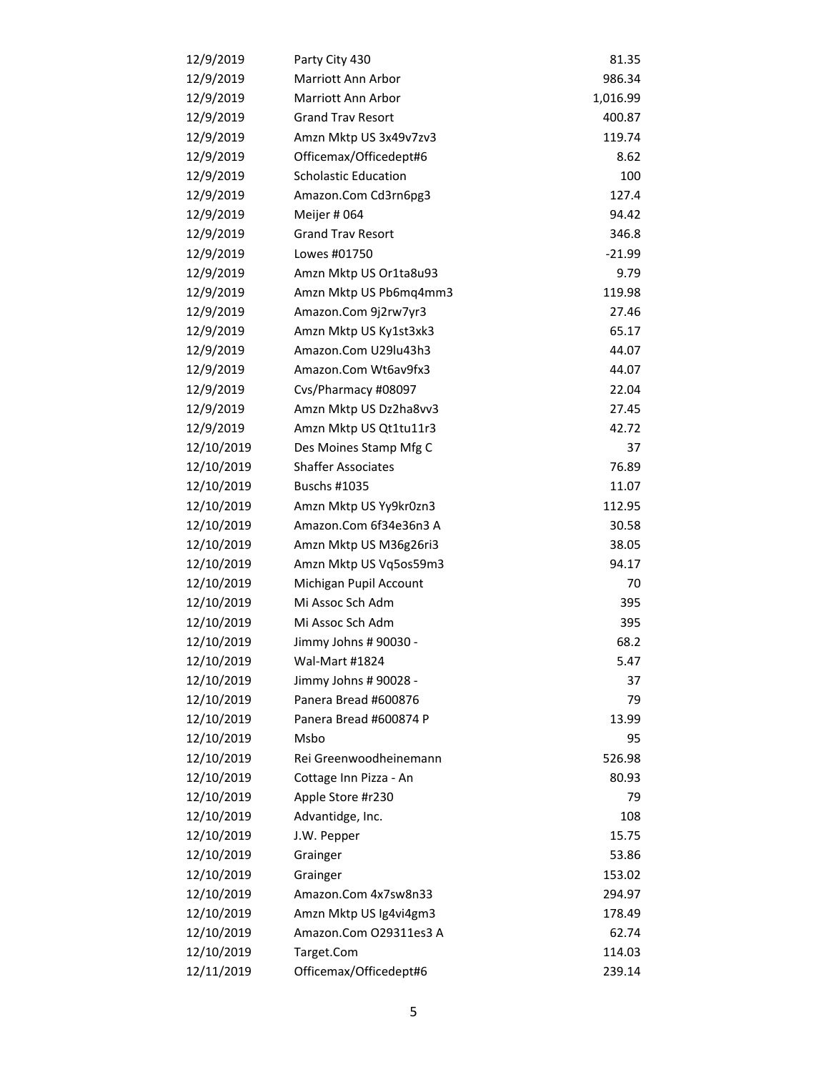| 12/9/2019  | Party City 430              | 81.35    |
|------------|-----------------------------|----------|
| 12/9/2019  | Marriott Ann Arbor          | 986.34   |
| 12/9/2019  | Marriott Ann Arbor          | 1,016.99 |
| 12/9/2019  | <b>Grand Trav Resort</b>    | 400.87   |
| 12/9/2019  | Amzn Mktp US 3x49v7zv3      | 119.74   |
| 12/9/2019  | Officemax/Officedept#6      | 8.62     |
| 12/9/2019  | <b>Scholastic Education</b> | 100      |
| 12/9/2019  | Amazon.Com Cd3rn6pg3        | 127.4    |
| 12/9/2019  | Meijer # 064                | 94.42    |
| 12/9/2019  | <b>Grand Trav Resort</b>    | 346.8    |
| 12/9/2019  | Lowes #01750                | $-21.99$ |
| 12/9/2019  | Amzn Mktp US Or1ta8u93      | 9.79     |
| 12/9/2019  | Amzn Mktp US Pb6mq4mm3      | 119.98   |
| 12/9/2019  | Amazon.Com 9j2rw7yr3        | 27.46    |
| 12/9/2019  | Amzn Mktp US Ky1st3xk3      | 65.17    |
| 12/9/2019  | Amazon.Com U29lu43h3        | 44.07    |
| 12/9/2019  | Amazon.Com Wt6av9fx3        | 44.07    |
| 12/9/2019  | Cvs/Pharmacy #08097         | 22.04    |
| 12/9/2019  | Amzn Mktp US Dz2ha8vv3      | 27.45    |
| 12/9/2019  | Amzn Mktp US Qt1tu11r3      | 42.72    |
| 12/10/2019 | Des Moines Stamp Mfg C      | 37       |
| 12/10/2019 | <b>Shaffer Associates</b>   | 76.89    |
| 12/10/2019 | <b>Buschs #1035</b>         | 11.07    |
| 12/10/2019 | Amzn Mktp US Yy9kr0zn3      | 112.95   |
| 12/10/2019 | Amazon.Com 6f34e36n3 A      | 30.58    |
| 12/10/2019 | Amzn Mktp US M36g26ri3      | 38.05    |
| 12/10/2019 | Amzn Mktp US Vq5os59m3      | 94.17    |
| 12/10/2019 | Michigan Pupil Account      | 70       |
| 12/10/2019 | Mi Assoc Sch Adm            | 395      |
| 12/10/2019 | Mi Assoc Sch Adm            | 395      |
| 12/10/2019 | Jimmy Johns # 90030 -       | 68.2     |
| 12/10/2019 | Wal-Mart #1824              | 5.47     |
| 12/10/2019 | Jimmy Johns # 90028 -       | 37       |
| 12/10/2019 | Panera Bread #600876        | 79       |
| 12/10/2019 | Panera Bread #600874 P      | 13.99    |
| 12/10/2019 | Msbo                        | 95       |
| 12/10/2019 | Rei Greenwoodheinemann      | 526.98   |
| 12/10/2019 | Cottage Inn Pizza - An      | 80.93    |
| 12/10/2019 | Apple Store #r230           | 79       |
| 12/10/2019 | Advantidge, Inc.            | 108      |
| 12/10/2019 | J.W. Pepper                 | 15.75    |
| 12/10/2019 | Grainger                    | 53.86    |
| 12/10/2019 | Grainger                    | 153.02   |
| 12/10/2019 | Amazon.Com 4x7sw8n33        | 294.97   |
| 12/10/2019 | Amzn Mktp US Ig4vi4gm3      | 178.49   |
| 12/10/2019 | Amazon.Com O29311es3 A      | 62.74    |
| 12/10/2019 | Target.Com                  | 114.03   |
| 12/11/2019 | Officemax/Officedept#6      | 239.14   |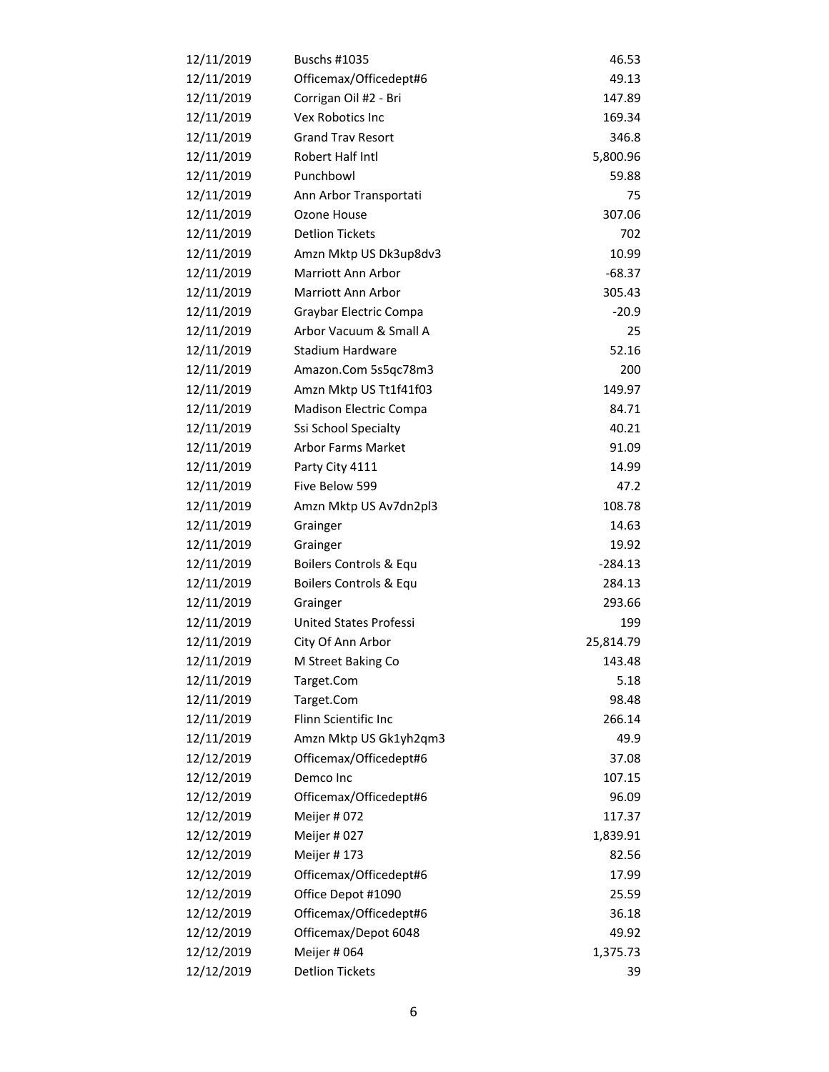| 12/11/2019 | <b>Buschs #1035</b>           | 46.53     |
|------------|-------------------------------|-----------|
| 12/11/2019 | Officemax/Officedept#6        | 49.13     |
| 12/11/2019 | Corrigan Oil #2 - Bri         | 147.89    |
| 12/11/2019 | Vex Robotics Inc              | 169.34    |
| 12/11/2019 | <b>Grand Trav Resort</b>      | 346.8     |
| 12/11/2019 | Robert Half Intl              | 5,800.96  |
| 12/11/2019 | Punchbowl                     | 59.88     |
| 12/11/2019 | Ann Arbor Transportati        | 75        |
| 12/11/2019 | Ozone House                   | 307.06    |
| 12/11/2019 | <b>Detlion Tickets</b>        | 702       |
| 12/11/2019 | Amzn Mktp US Dk3up8dv3        | 10.99     |
| 12/11/2019 | <b>Marriott Ann Arbor</b>     | $-68.37$  |
| 12/11/2019 | <b>Marriott Ann Arbor</b>     | 305.43    |
| 12/11/2019 | Graybar Electric Compa        | $-20.9$   |
| 12/11/2019 | Arbor Vacuum & Small A        | 25        |
| 12/11/2019 | Stadium Hardware              | 52.16     |
| 12/11/2019 | Amazon.Com 5s5qc78m3          | 200       |
| 12/11/2019 | Amzn Mktp US Tt1f41f03        | 149.97    |
| 12/11/2019 | <b>Madison Electric Compa</b> | 84.71     |
| 12/11/2019 | Ssi School Specialty          | 40.21     |
| 12/11/2019 | Arbor Farms Market            | 91.09     |
| 12/11/2019 | Party City 4111               | 14.99     |
| 12/11/2019 | Five Below 599                | 47.2      |
| 12/11/2019 | Amzn Mktp US Av7dn2pl3        | 108.78    |
| 12/11/2019 | Grainger                      | 14.63     |
| 12/11/2019 | Grainger                      | 19.92     |
| 12/11/2019 | Boilers Controls & Equ        | $-284.13$ |
| 12/11/2019 | Boilers Controls & Equ        | 284.13    |
| 12/11/2019 | Grainger                      | 293.66    |
| 12/11/2019 | <b>United States Professi</b> | 199       |
| 12/11/2019 | City Of Ann Arbor             | 25,814.79 |
| 12/11/2019 | M Street Baking Co            | 143.48    |
| 12/11/2019 | Target.Com                    | 5.18      |
| 12/11/2019 | Target.Com                    | 98.48     |
| 12/11/2019 | Flinn Scientific Inc          | 266.14    |
| 12/11/2019 | Amzn Mktp US Gk1yh2qm3        | 49.9      |
| 12/12/2019 | Officemax/Officedept#6        | 37.08     |
| 12/12/2019 | Demco Inc                     | 107.15    |
| 12/12/2019 | Officemax/Officedept#6        | 96.09     |
| 12/12/2019 | Meijer #072                   | 117.37    |
| 12/12/2019 | Meijer #027                   | 1,839.91  |
| 12/12/2019 | Meijer #173                   | 82.56     |
| 12/12/2019 | Officemax/Officedept#6        | 17.99     |
| 12/12/2019 | Office Depot #1090            | 25.59     |
| 12/12/2019 | Officemax/Officedept#6        | 36.18     |
| 12/12/2019 | Officemax/Depot 6048          | 49.92     |
| 12/12/2019 | Meijer # 064                  | 1,375.73  |
| 12/12/2019 | <b>Detlion Tickets</b>        | 39        |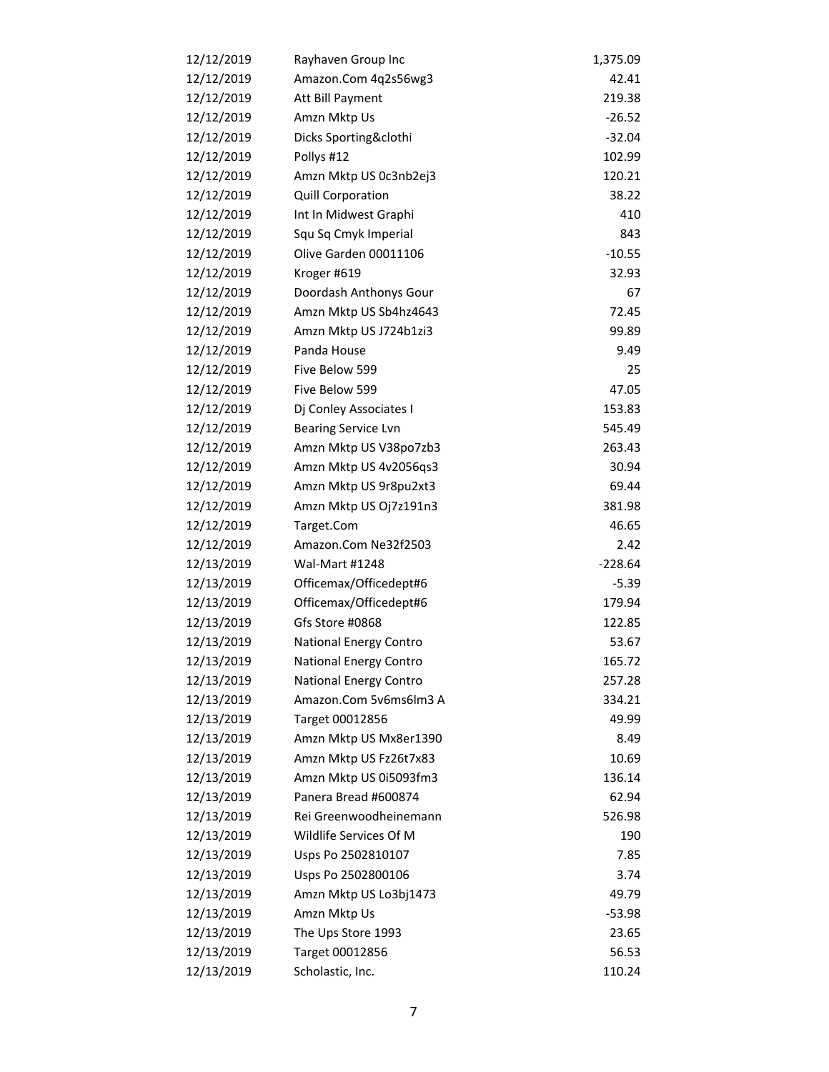| 12/12/2019 | Rayhaven Group Inc            | 1,375.09  |
|------------|-------------------------------|-----------|
| 12/12/2019 | Amazon.Com 4q2s56wg3          | 42.41     |
| 12/12/2019 | Att Bill Payment              | 219.38    |
| 12/12/2019 | Amzn Mktp Us                  | $-26.52$  |
| 12/12/2019 | Dicks Sporting&clothi         | $-32.04$  |
| 12/12/2019 | Pollys #12                    | 102.99    |
| 12/12/2019 | Amzn Mktp US 0c3nb2ej3        | 120.21    |
| 12/12/2019 | Quill Corporation             | 38.22     |
| 12/12/2019 | Int In Midwest Graphi         | 410       |
| 12/12/2019 | Squ Sq Cmyk Imperial          | 843       |
| 12/12/2019 | Olive Garden 00011106         | $-10.55$  |
| 12/12/2019 | Kroger #619                   | 32.93     |
| 12/12/2019 | Doordash Anthonys Gour        | 67        |
| 12/12/2019 | Amzn Mktp US Sb4hz4643        | 72.45     |
| 12/12/2019 | Amzn Mktp US J724b1zi3        | 99.89     |
| 12/12/2019 | Panda House                   | 9.49      |
| 12/12/2019 | Five Below 599                | 25        |
| 12/12/2019 | Five Below 599                | 47.05     |
| 12/12/2019 | Dj Conley Associates I        | 153.83    |
| 12/12/2019 | <b>Bearing Service Lvn</b>    | 545.49    |
| 12/12/2019 | Amzn Mktp US V38po7zb3        | 263.43    |
| 12/12/2019 | Amzn Mktp US 4v2056qs3        | 30.94     |
| 12/12/2019 | Amzn Mktp US 9r8pu2xt3        | 69.44     |
| 12/12/2019 | Amzn Mktp US Oj7z191n3        | 381.98    |
| 12/12/2019 | Target.Com                    | 46.65     |
| 12/12/2019 | Amazon.Com Ne32f2503          | 2.42      |
| 12/13/2019 | <b>Wal-Mart #1248</b>         | $-228.64$ |
| 12/13/2019 | Officemax/Officedept#6        | $-5.39$   |
| 12/13/2019 | Officemax/Officedept#6        | 179.94    |
| 12/13/2019 | Gfs Store #0868               | 122.85    |
| 12/13/2019 | <b>National Energy Contro</b> | 53.67     |
| 12/13/2019 | National Energy Contro        | 165.72    |
| 12/13/2019 | National Energy Contro        | 257.28    |
| 12/13/2019 | Amazon.Com 5v6ms6lm3 A        | 334.21    |
| 12/13/2019 | Target 00012856               | 49.99     |
| 12/13/2019 | Amzn Mktp US Mx8er1390        | 8.49      |
| 12/13/2019 | Amzn Mktp US Fz26t7x83        | 10.69     |
| 12/13/2019 | Amzn Mktp US 0i5093fm3        | 136.14    |
| 12/13/2019 | Panera Bread #600874          | 62.94     |
| 12/13/2019 | Rei Greenwoodheinemann        | 526.98    |
| 12/13/2019 | Wildlife Services Of M        | 190       |
| 12/13/2019 | Usps Po 2502810107            | 7.85      |
| 12/13/2019 | Usps Po 2502800106            | 3.74      |
| 12/13/2019 | Amzn Mktp US Lo3bj1473        | 49.79     |
| 12/13/2019 | Amzn Mktp Us                  | $-53.98$  |
| 12/13/2019 | The Ups Store 1993            | 23.65     |
| 12/13/2019 | Target 00012856               | 56.53     |
| 12/13/2019 | Scholastic, Inc.              | 110.24    |
|            |                               |           |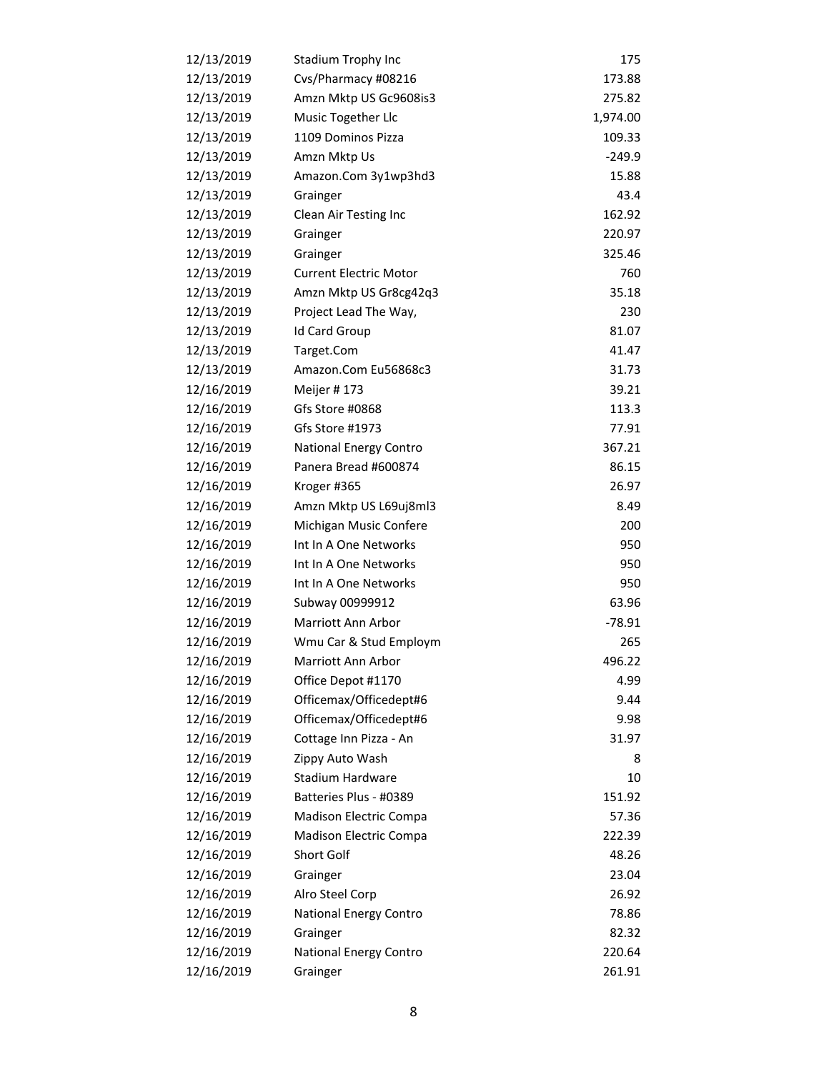| 12/13/2019 | Stadium Trophy Inc            | 175      |
|------------|-------------------------------|----------|
| 12/13/2019 | Cvs/Pharmacy #08216           | 173.88   |
| 12/13/2019 | Amzn Mktp US Gc9608is3        | 275.82   |
| 12/13/2019 | Music Together Llc            | 1,974.00 |
| 12/13/2019 | 1109 Dominos Pizza            | 109.33   |
| 12/13/2019 | Amzn Mktp Us                  | $-249.9$ |
| 12/13/2019 | Amazon.Com 3y1wp3hd3          | 15.88    |
| 12/13/2019 | Grainger                      | 43.4     |
| 12/13/2019 | Clean Air Testing Inc         | 162.92   |
| 12/13/2019 | Grainger                      | 220.97   |
| 12/13/2019 | Grainger                      | 325.46   |
| 12/13/2019 | <b>Current Electric Motor</b> | 760      |
| 12/13/2019 | Amzn Mktp US Gr8cg42q3        | 35.18    |
| 12/13/2019 | Project Lead The Way,         | 230      |
| 12/13/2019 | <b>Id Card Group</b>          | 81.07    |
| 12/13/2019 | Target.Com                    | 41.47    |
| 12/13/2019 | Amazon.Com Eu56868c3          | 31.73    |
| 12/16/2019 | Meijer #173                   | 39.21    |
| 12/16/2019 | Gfs Store #0868               | 113.3    |
| 12/16/2019 | Gfs Store #1973               | 77.91    |
| 12/16/2019 | National Energy Contro        | 367.21   |
| 12/16/2019 | Panera Bread #600874          | 86.15    |
| 12/16/2019 | Kroger #365                   | 26.97    |
| 12/16/2019 | Amzn Mktp US L69uj8ml3        | 8.49     |
| 12/16/2019 | Michigan Music Confere        | 200      |
| 12/16/2019 | Int In A One Networks         | 950      |
| 12/16/2019 | Int In A One Networks         | 950      |
| 12/16/2019 | Int In A One Networks         | 950      |
| 12/16/2019 | Subway 00999912               | 63.96    |
| 12/16/2019 | Marriott Ann Arbor            | $-78.91$ |
| 12/16/2019 | Wmu Car & Stud Employm        | 265      |
| 12/16/2019 | Marriott Ann Arbor            | 496.22   |
| 12/16/2019 | Office Depot #1170            | 4.99     |
| 12/16/2019 | Officemax/Officedept#6        | 9.44     |
| 12/16/2019 | Officemax/Officedept#6        | 9.98     |
| 12/16/2019 | Cottage Inn Pizza - An        | 31.97    |
| 12/16/2019 | Zippy Auto Wash               | 8        |
| 12/16/2019 | Stadium Hardware              | 10       |
| 12/16/2019 | Batteries Plus - #0389        | 151.92   |
| 12/16/2019 | Madison Electric Compa        | 57.36    |
| 12/16/2019 | Madison Electric Compa        | 222.39   |
| 12/16/2019 | Short Golf                    | 48.26    |
| 12/16/2019 | Grainger                      | 23.04    |
| 12/16/2019 | Alro Steel Corp               | 26.92    |
| 12/16/2019 | National Energy Contro        | 78.86    |
| 12/16/2019 | Grainger                      | 82.32    |
| 12/16/2019 | National Energy Contro        | 220.64   |
| 12/16/2019 | Grainger                      | 261.91   |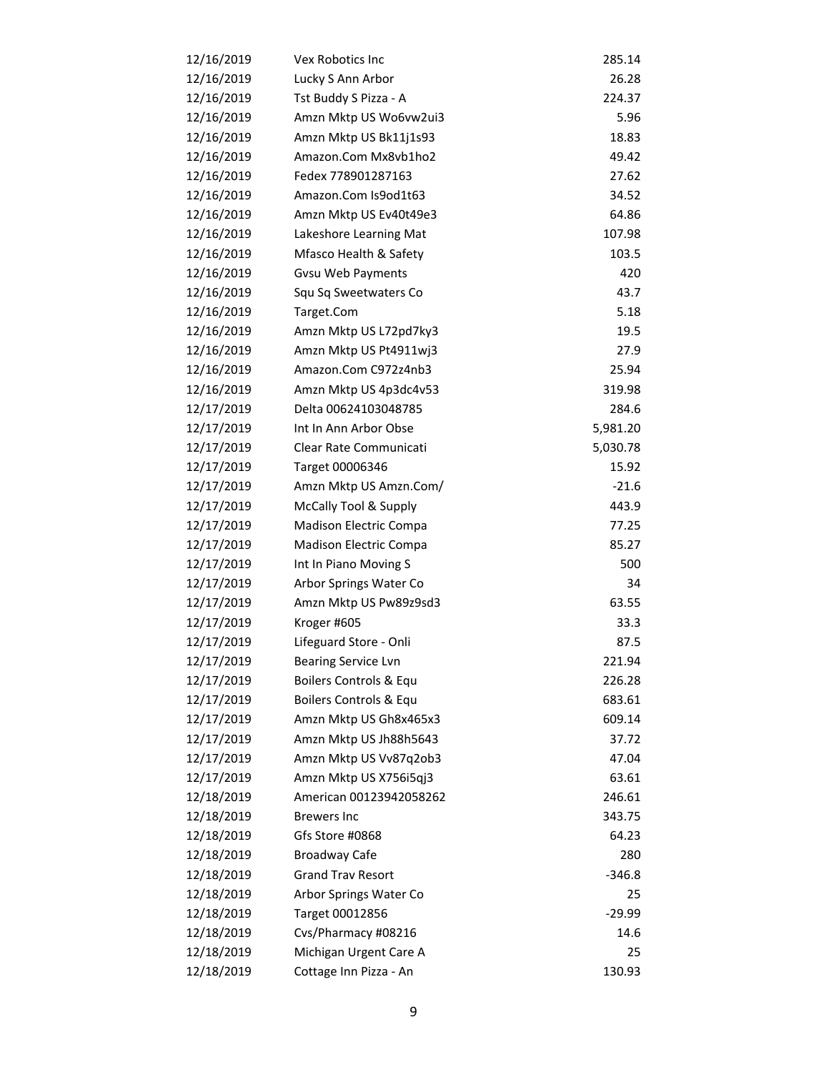| 12/16/2019 | Vex Robotics Inc           | 285.14   |
|------------|----------------------------|----------|
| 12/16/2019 | Lucky S Ann Arbor          | 26.28    |
| 12/16/2019 | Tst Buddy S Pizza - A      | 224.37   |
| 12/16/2019 | Amzn Mktp US Wo6vw2ui3     | 5.96     |
| 12/16/2019 | Amzn Mktp US Bk11j1s93     | 18.83    |
| 12/16/2019 | Amazon.Com Mx8vb1ho2       | 49.42    |
| 12/16/2019 | Fedex 778901287163         | 27.62    |
| 12/16/2019 | Amazon.Com Is9od1t63       | 34.52    |
| 12/16/2019 | Amzn Mktp US Ev40t49e3     | 64.86    |
| 12/16/2019 | Lakeshore Learning Mat     | 107.98   |
| 12/16/2019 | Mfasco Health & Safety     | 103.5    |
| 12/16/2019 | <b>Gvsu Web Payments</b>   | 420      |
| 12/16/2019 | Squ Sq Sweetwaters Co      | 43.7     |
| 12/16/2019 | Target.Com                 | 5.18     |
| 12/16/2019 | Amzn Mktp US L72pd7ky3     | 19.5     |
| 12/16/2019 | Amzn Mktp US Pt4911wj3     | 27.9     |
| 12/16/2019 | Amazon.Com C972z4nb3       | 25.94    |
| 12/16/2019 | Amzn Mktp US 4p3dc4v53     | 319.98   |
| 12/17/2019 | Delta 00624103048785       | 284.6    |
| 12/17/2019 | Int In Ann Arbor Obse      | 5,981.20 |
| 12/17/2019 | Clear Rate Communicati     | 5,030.78 |
| 12/17/2019 | Target 00006346            | 15.92    |
| 12/17/2019 | Amzn Mktp US Amzn.Com/     | $-21.6$  |
| 12/17/2019 | McCally Tool & Supply      | 443.9    |
| 12/17/2019 | Madison Electric Compa     | 77.25    |
| 12/17/2019 | Madison Electric Compa     | 85.27    |
| 12/17/2019 | Int In Piano Moving S      | 500      |
| 12/17/2019 | Arbor Springs Water Co     | 34       |
| 12/17/2019 | Amzn Mktp US Pw89z9sd3     | 63.55    |
| 12/17/2019 | Kroger #605                | 33.3     |
| 12/17/2019 | Lifeguard Store - Onli     | 87.5     |
| 12/17/2019 | <b>Bearing Service Lvn</b> | 221.94   |
| 12/17/2019 | Boilers Controls & Equ     | 226.28   |
| 12/17/2019 | Boilers Controls & Equ     | 683.61   |
| 12/17/2019 | Amzn Mktp US Gh8x465x3     | 609.14   |
| 12/17/2019 | Amzn Mktp US Jh88h5643     | 37.72    |
| 12/17/2019 | Amzn Mktp US Vv87q2ob3     | 47.04    |
| 12/17/2019 | Amzn Mktp US X756i5qj3     | 63.61    |
| 12/18/2019 | American 00123942058262    | 246.61   |
| 12/18/2019 | <b>Brewers Inc</b>         | 343.75   |
| 12/18/2019 | Gfs Store #0868            | 64.23    |
| 12/18/2019 | <b>Broadway Cafe</b>       | 280      |
| 12/18/2019 | <b>Grand Trav Resort</b>   | $-346.8$ |
| 12/18/2019 | Arbor Springs Water Co     | 25       |
| 12/18/2019 | Target 00012856            | -29.99   |
| 12/18/2019 | Cvs/Pharmacy #08216        | 14.6     |
| 12/18/2019 | Michigan Urgent Care A     | 25       |
| 12/18/2019 | Cottage Inn Pizza - An     | 130.93   |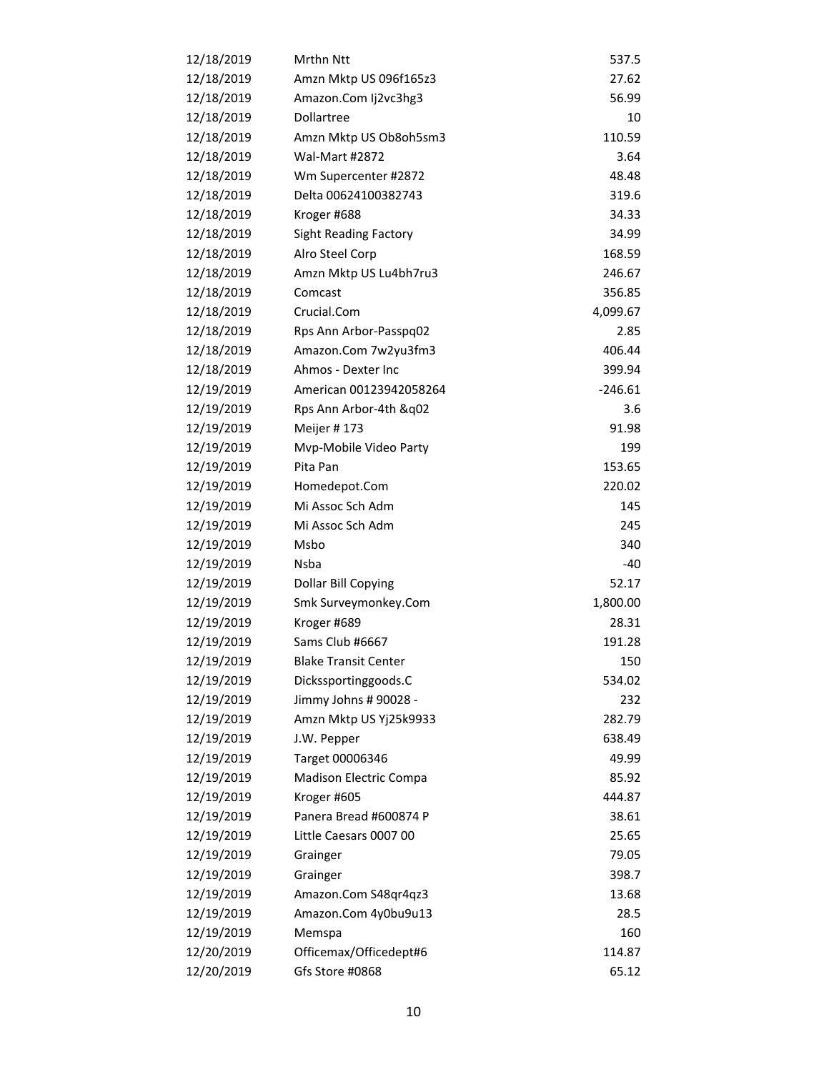| 12/18/2019 | Mrthn Ntt                    | 537.5     |
|------------|------------------------------|-----------|
| 12/18/2019 | Amzn Mktp US 096f165z3       | 27.62     |
| 12/18/2019 | Amazon.Com Ij2vc3hg3         | 56.99     |
| 12/18/2019 | Dollartree                   | 10        |
| 12/18/2019 | Amzn Mktp US Ob8oh5sm3       | 110.59    |
| 12/18/2019 | <b>Wal-Mart #2872</b>        | 3.64      |
| 12/18/2019 | Wm Supercenter #2872         | 48.48     |
| 12/18/2019 | Delta 00624100382743         | 319.6     |
| 12/18/2019 | Kroger #688                  | 34.33     |
| 12/18/2019 | <b>Sight Reading Factory</b> | 34.99     |
| 12/18/2019 | Alro Steel Corp              | 168.59    |
| 12/18/2019 | Amzn Mktp US Lu4bh7ru3       | 246.67    |
| 12/18/2019 | Comcast                      | 356.85    |
| 12/18/2019 | Crucial.Com                  | 4,099.67  |
| 12/18/2019 | Rps Ann Arbor-Passpq02       | 2.85      |
| 12/18/2019 | Amazon.Com 7w2yu3fm3         | 406.44    |
| 12/18/2019 | Ahmos - Dexter Inc           | 399.94    |
| 12/19/2019 | American 00123942058264      | $-246.61$ |
| 12/19/2019 | Rps Ann Arbor-4th &q02       | 3.6       |
| 12/19/2019 | Meijer #173                  | 91.98     |
| 12/19/2019 | Mvp-Mobile Video Party       | 199       |
| 12/19/2019 | Pita Pan                     | 153.65    |
| 12/19/2019 | Homedepot.Com                | 220.02    |
| 12/19/2019 | Mi Assoc Sch Adm             | 145       |
| 12/19/2019 | Mi Assoc Sch Adm             | 245       |
| 12/19/2019 | Msbo                         | 340       |
| 12/19/2019 | Nsba                         | -40       |
| 12/19/2019 | Dollar Bill Copying          | 52.17     |
| 12/19/2019 | Smk Surveymonkey.Com         | 1,800.00  |
| 12/19/2019 | Kroger #689                  | 28.31     |
| 12/19/2019 | Sams Club #6667              | 191.28    |
| 12/19/2019 | <b>Blake Transit Center</b>  | 150       |
| 12/19/2019 | Dickssportinggoods.C         | 534.02    |
| 12/19/2019 | Jimmy Johns # 90028 -        | 232       |
| 12/19/2019 | Amzn Mktp US Yj25k9933       | 282.79    |
| 12/19/2019 | J.W. Pepper                  | 638.49    |
| 12/19/2019 | Target 00006346              | 49.99     |
| 12/19/2019 | Madison Electric Compa       | 85.92     |
| 12/19/2019 | Kroger #605                  | 444.87    |
| 12/19/2019 | Panera Bread #600874 P       | 38.61     |
| 12/19/2019 | Little Caesars 0007 00       | 25.65     |
| 12/19/2019 | Grainger                     | 79.05     |
| 12/19/2019 | Grainger                     | 398.7     |
| 12/19/2019 | Amazon.Com S48qr4qz3         | 13.68     |
| 12/19/2019 | Amazon.Com 4y0bu9u13         | 28.5      |
| 12/19/2019 | Memspa                       | 160       |
| 12/20/2019 | Officemax/Officedept#6       | 114.87    |
| 12/20/2019 | Gfs Store #0868              | 65.12     |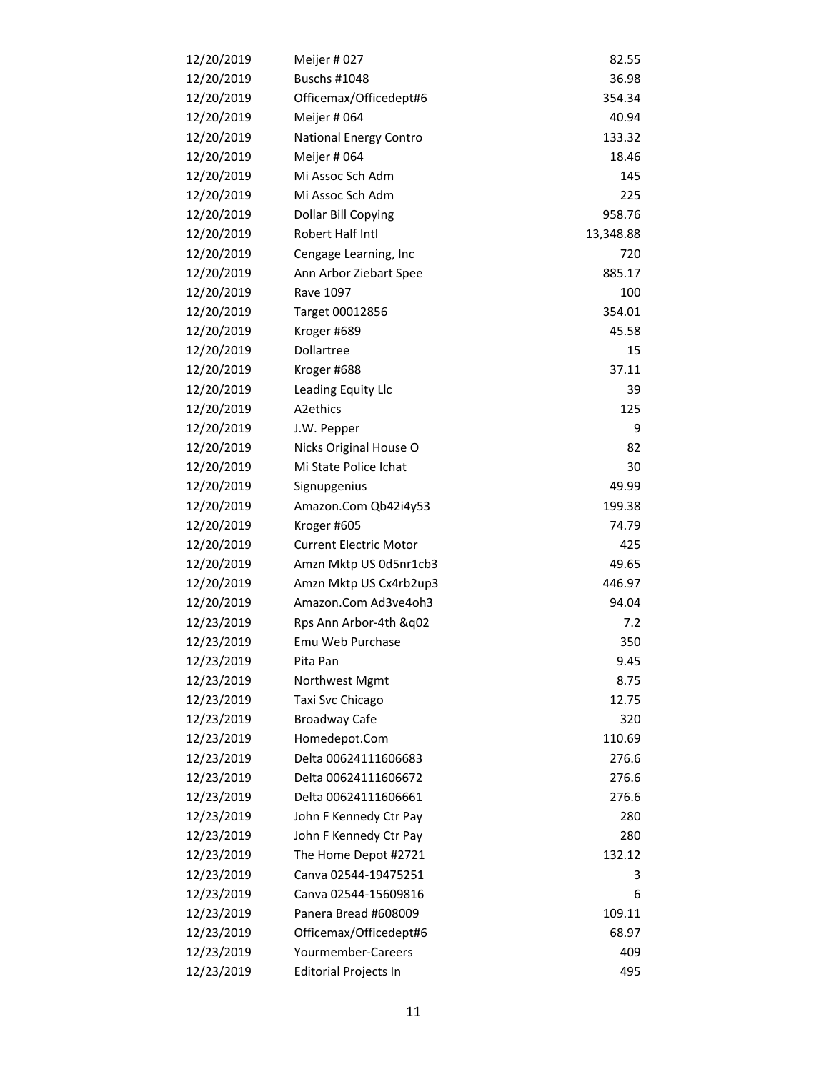| 12/20/2019 | Meijer #027                   | 82.55     |
|------------|-------------------------------|-----------|
| 12/20/2019 | <b>Buschs #1048</b>           | 36.98     |
| 12/20/2019 | Officemax/Officedept#6        | 354.34    |
| 12/20/2019 | Meijer # 064                  | 40.94     |
| 12/20/2019 | National Energy Contro        | 133.32    |
| 12/20/2019 | Meijer # 064                  | 18.46     |
| 12/20/2019 | Mi Assoc Sch Adm              | 145       |
| 12/20/2019 | Mi Assoc Sch Adm              | 225       |
| 12/20/2019 | Dollar Bill Copying           | 958.76    |
| 12/20/2019 | Robert Half Intl              | 13,348.88 |
| 12/20/2019 | Cengage Learning, Inc.        | 720       |
| 12/20/2019 | Ann Arbor Ziebart Spee        | 885.17    |
| 12/20/2019 | Rave 1097                     | 100       |
| 12/20/2019 | Target 00012856               | 354.01    |
| 12/20/2019 | Kroger #689                   | 45.58     |
| 12/20/2019 | Dollartree                    | 15        |
| 12/20/2019 | Kroger #688                   | 37.11     |
| 12/20/2019 | Leading Equity Llc            | 39        |
| 12/20/2019 | A2ethics                      | 125       |
| 12/20/2019 | J.W. Pepper                   | 9         |
| 12/20/2019 | Nicks Original House O        | 82        |
| 12/20/2019 | Mi State Police Ichat         | 30        |
| 12/20/2019 | Signupgenius                  | 49.99     |
| 12/20/2019 | Amazon.Com Qb42i4y53          | 199.38    |
| 12/20/2019 | Kroger #605                   | 74.79     |
| 12/20/2019 | <b>Current Electric Motor</b> | 425       |
| 12/20/2019 | Amzn Mktp US 0d5nr1cb3        | 49.65     |
| 12/20/2019 | Amzn Mktp US Cx4rb2up3        | 446.97    |
| 12/20/2019 | Amazon.Com Ad3ve4oh3          | 94.04     |
| 12/23/2019 | Rps Ann Arbor-4th &q02        | 7.2       |
| 12/23/2019 | Emu Web Purchase              | 350       |
| 12/23/2019 | Pita Pan                      | 9.45      |
| 12/23/2019 | Northwest Mgmt                | 8.75      |
| 12/23/2019 | Taxi Svc Chicago              | 12.75     |
| 12/23/2019 | <b>Broadway Cafe</b>          | 320       |
| 12/23/2019 | Homedepot.Com                 | 110.69    |
| 12/23/2019 | Delta 00624111606683          | 276.6     |
| 12/23/2019 | Delta 00624111606672          | 276.6     |
| 12/23/2019 | Delta 00624111606661          | 276.6     |
| 12/23/2019 | John F Kennedy Ctr Pay        | 280       |
| 12/23/2019 | John F Kennedy Ctr Pay        | 280       |
| 12/23/2019 | The Home Depot #2721          | 132.12    |
| 12/23/2019 | Canva 02544-19475251          | 3         |
| 12/23/2019 | Canva 02544-15609816          | 6         |
| 12/23/2019 | Panera Bread #608009          | 109.11    |
| 12/23/2019 | Officemax/Officedept#6        | 68.97     |
| 12/23/2019 | Yourmember-Careers            | 409       |
| 12/23/2019 | <b>Editorial Projects In</b>  | 495       |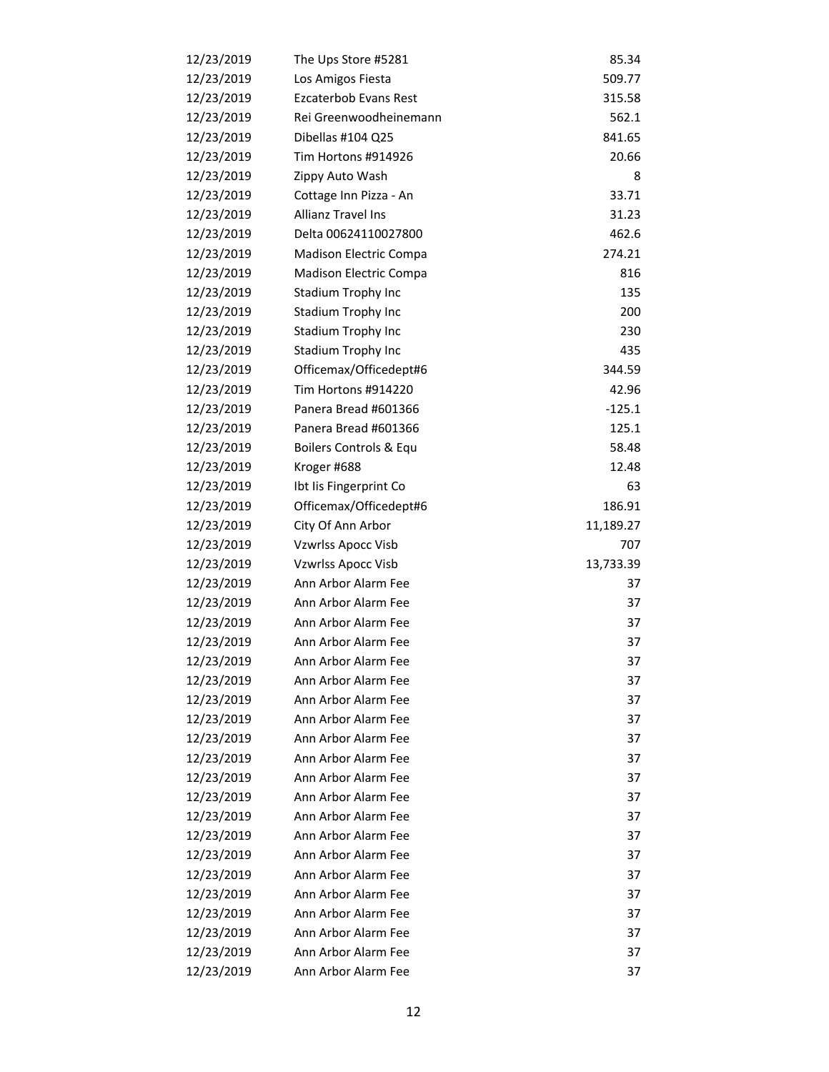| 12/23/2019 | The Ups Store #5281       | 85.34     |
|------------|---------------------------|-----------|
| 12/23/2019 | Los Amigos Fiesta         | 509.77    |
| 12/23/2019 | Ezcaterbob Evans Rest     | 315.58    |
| 12/23/2019 | Rei Greenwoodheinemann    | 562.1     |
| 12/23/2019 | Dibellas #104 Q25         | 841.65    |
| 12/23/2019 | Tim Hortons #914926       | 20.66     |
| 12/23/2019 | Zippy Auto Wash           | 8         |
| 12/23/2019 | Cottage Inn Pizza - An    | 33.71     |
| 12/23/2019 | Allianz Travel Ins        | 31.23     |
| 12/23/2019 | Delta 00624110027800      | 462.6     |
| 12/23/2019 | Madison Electric Compa    | 274.21    |
| 12/23/2019 | Madison Electric Compa    | 816       |
| 12/23/2019 | Stadium Trophy Inc        | 135       |
| 12/23/2019 | Stadium Trophy Inc        | 200       |
| 12/23/2019 | Stadium Trophy Inc        | 230       |
| 12/23/2019 | Stadium Trophy Inc        | 435       |
| 12/23/2019 | Officemax/Officedept#6    | 344.59    |
| 12/23/2019 | Tim Hortons #914220       | 42.96     |
| 12/23/2019 | Panera Bread #601366      | $-125.1$  |
| 12/23/2019 | Panera Bread #601366      | 125.1     |
| 12/23/2019 | Boilers Controls & Equ    | 58.48     |
| 12/23/2019 | Kroger #688               | 12.48     |
| 12/23/2019 | Ibt Iis Fingerprint Co    | 63        |
| 12/23/2019 | Officemax/Officedept#6    | 186.91    |
| 12/23/2019 | City Of Ann Arbor         | 11,189.27 |
| 12/23/2019 | Vzwrlss Apocc Visb        | 707       |
| 12/23/2019 | <b>Vzwrlss Apocc Visb</b> | 13,733.39 |
| 12/23/2019 | Ann Arbor Alarm Fee       | 37        |
| 12/23/2019 | Ann Arbor Alarm Fee       | 37        |
| 12/23/2019 | Ann Arbor Alarm Fee       | 37        |
| 12/23/2019 | Ann Arbor Alarm Fee       | 37        |
| 12/23/2019 | Ann Arbor Alarm Fee       | 37        |
| 12/23/2019 | Ann Arbor Alarm Fee       | 37        |
| 12/23/2019 | Ann Arbor Alarm Fee       | 37        |
| 12/23/2019 | Ann Arbor Alarm Fee       | 37        |
| 12/23/2019 | Ann Arbor Alarm Fee       | 37        |
| 12/23/2019 | Ann Arbor Alarm Fee       | 37        |
| 12/23/2019 | Ann Arbor Alarm Fee       | 37        |
| 12/23/2019 | Ann Arbor Alarm Fee       | 37        |
| 12/23/2019 | Ann Arbor Alarm Fee       | 37        |
| 12/23/2019 | Ann Arbor Alarm Fee       | 37        |
| 12/23/2019 | Ann Arbor Alarm Fee       | 37        |
| 12/23/2019 | Ann Arbor Alarm Fee       | 37        |
| 12/23/2019 | Ann Arbor Alarm Fee       | 37        |
| 12/23/2019 | Ann Arbor Alarm Fee       | 37        |
| 12/23/2019 | Ann Arbor Alarm Fee       | 37        |
| 12/23/2019 | Ann Arbor Alarm Fee       | 37        |
| 12/23/2019 | Ann Arbor Alarm Fee       | 37        |